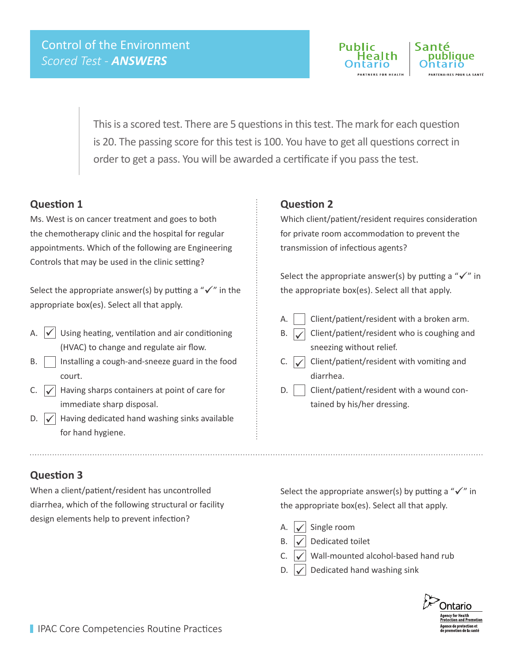

This is a scored test. There are 5 questions in this test. The mark for each question is 20. The passing score for this test is 100. You have to get all questions correct in order to get a pass. You will be awarded a certificate if you pass the test.

### **Question 1**

Ms. West is on cancer treatment and goes to both the chemotherapy clinic and the hospital for regular appointments. Which of the following are Engineering Controls that may be used in the clinic setting?

Select the appropriate answer(s) by putting a " $\checkmark$ " in the appropriate box(es). Select all that apply.

- Using heating, ventilation and air conditioning (HVAC) to change and regulate air flow. A.  $\vert \checkmark \vert$
- $B.$  | Installing a cough-and-sneeze guard in the food court.
- Having sharps containers at point of care for immediate sharp disposal.  $C.$   $\sqrt{}$
- D.  $\sqrt{\phantom{a}}$  Having dedicated hand washing sinks available for hand hygiene.

### **Question 2**

Which client/patient/resident requires consideration for private room accommodation to prevent the transmission of infectious agents?

Select the appropriate answer(s) by putting a " $\checkmark$ " in the appropriate box(es). Select all that apply.

- A.  $\vert$   $\vert$  Client/patient/resident with a broken arm.
- B.  $\sqrt{\phantom{a}}$  Client/patient/resident who is coughing and sneezing without relief.  $\checkmark$
- Client/patient/resident with vomiting and diarrhea.  $C.$   $\sqrt{}$
- $D.$  | Client/patient/resident with a wound contained by his/her dressing.

### **Question 3**

When a client/patient/resident has uncontrolled diarrhea, which of the following structural or facility design elements help to prevent infection?

Select the appropriate answer(s) by putting a " $\checkmark$ " in the appropriate box(es). Select all that apply.

- Single room  $\checkmark$ 
	- Dedicated toilet  $\checkmark$
- C.  $\sqrt{\phantom{a}}$  Wall-mounted alcohol-based hand rub  $\checkmark$
- Dedicated hand washing sink  $D. \bigvee$

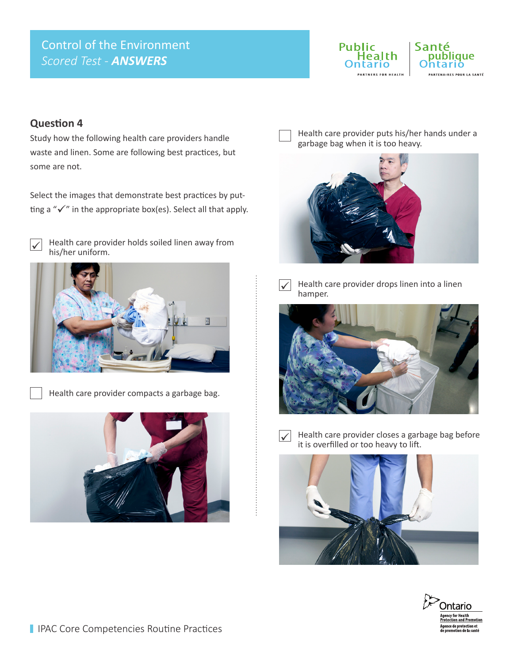# Control of the Environment *Scored Test - ANSWERS*



## **Question 4**

Study how the following health care providers handle waste and linen. Some are following best practices, but some are not.

Select the images that demonstrate best practices by putting a " $\checkmark$ " in the appropriate box(es). Select all that apply.



Health care provider holds soiled linen away from his/her uniform.



Health care provider compacts a garbage bag.



Health care provider puts his/her hands under a garbage bag when it is too heavy.





Health care provider drops linen into a linen hamper.





Health care provider closes a garbage bag before it is overfilled or too heavy to lift.



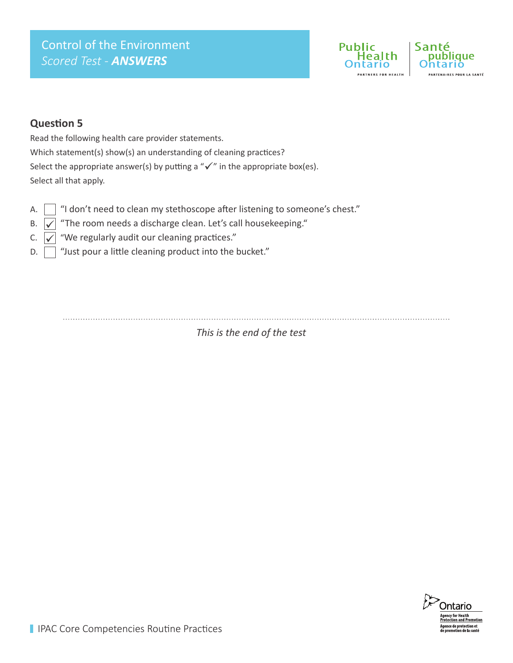# Control of the Environment *Scored Test - ANSWERS*



## **Question 5**

Read the following health care provider statements. Which statement(s) show(s) an understanding of cleaning practices? Select the appropriate answer(s) by putting a " $\checkmark$ " in the appropriate box(es). Select all that apply.

- A.  $\Box$  "I don't need to clean my stethoscope after listening to someone's chest."
- B.  $\sqrt{\phantom{a}}$  "The room needs a discharge clean. Let's call housekeeping."  $\checkmark$
- C.  $\left| \swarrow \right|$  "We regularly audit our cleaning practices."
- $D. \Box$  "Just pour a little cleaning product into the bucket."

*This is the end of the test*